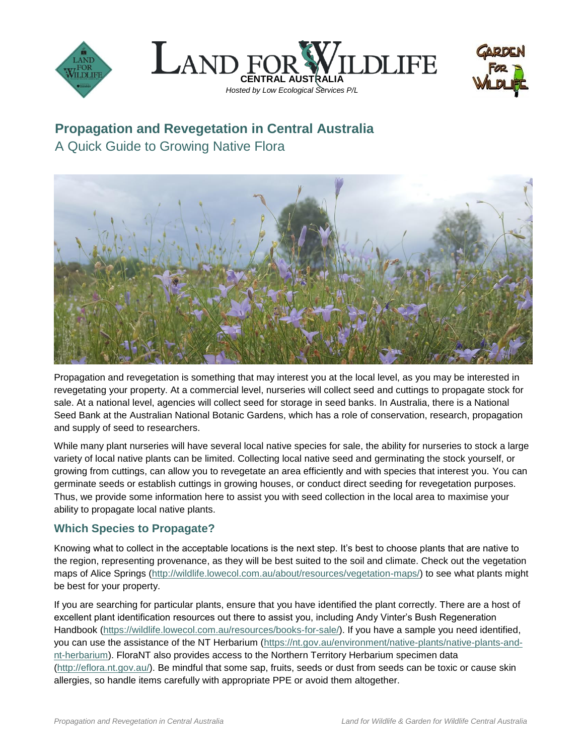





# **Propagation and Revegetation in Central Australia** A Quick Guide to Growing Native Flora



Propagation and revegetation is something that may interest you at the local level, as you may be interested in revegetating your property. At a commercial level, nurseries will collect seed and cuttings to propagate stock for sale. At a national level, agencies will collect seed for storage in seed banks. In Australia, there is a National Seed Bank at the Australian National Botanic Gardens, which has a role of conservation, research, propagation and supply of seed to researchers.

While many plant nurseries will have several local native species for sale, the ability for nurseries to stock a large variety of local native plants can be limited. Collecting local native seed and germinating the stock yourself, or growing from cuttings, can allow you to revegetate an area efficiently and with species that interest you. You can germinate seeds or establish cuttings in growing houses, or conduct direct seeding for revegetation purposes. Thus, we provide some information here to assist you with seed collection in the local area to maximise your ability to propagate local native plants.

### **Which Species to Propagate?**

Knowing what to collect in the acceptable locations is the next step. It's best to choose plants that are native to the region, representing provenance, as they will be best suited to the soil and climate. Check out the vegetation maps of Alice Springs [\(http://wildlife.lowecol.com.au/about/resources/vegetation-maps/\)](http://wildlife.lowecol.com.au/about/resources/vegetation-maps/) to see what plants might be best for your property.

If you are searching for particular plants, ensure that you have identified the plant correctly. There are a host of excellent plant identification resources out there to assist you, including Andy Vinter's Bush Regeneration Handbook [\(https://wildlife.lowecol.com.au/resources/books-for-sale/\)](https://wildlife.lowecol.com.au/resources/books-for-sale/). If you have a sample you need identified, you can use the assistance of the NT Herbarium [\(https://nt.gov.au/environment/native-plants/native-plants-and](https://nt.gov.au/environment/native-plants/native-plants-and-nt-herbarium)[nt-herbarium\)](https://nt.gov.au/environment/native-plants/native-plants-and-nt-herbarium). FloraNT also provides access to the Northern Territory Herbarium specimen data [\(http://eflora.nt.gov.au/\)](http://eflora.nt.gov.au/). Be mindful that some sap, fruits, seeds or dust from seeds can be toxic or cause skin allergies, so handle items carefully with appropriate PPE or avoid them altogether.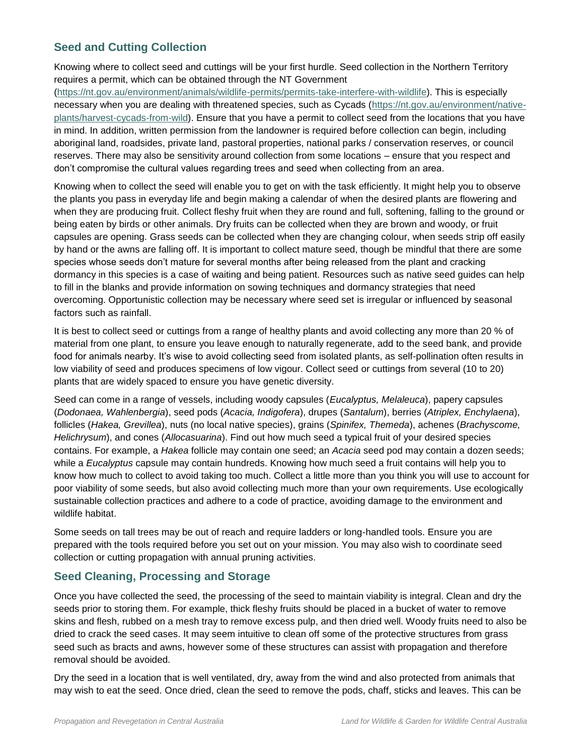# **Seed and Cutting Collection**

Knowing where to collect seed and cuttings will be your first hurdle. Seed collection in the Northern Territory requires a permit, which can be obtained through the NT Government

[\(https://nt.gov.au/environment/animals/wildlife-permits/permits-take-interfere-with-wildlife\)](https://nt.gov.au/environment/animals/wildlife-permits/permits-take-interfere-with-wildlife). This is especially necessary when you are dealing with threatened species, such as Cycads [\(https://nt.gov.au/environment/native](https://nt.gov.au/environment/native-plants/harvest-cycads-from-wild)[plants/harvest-cycads-from-wild\)](https://nt.gov.au/environment/native-plants/harvest-cycads-from-wild). Ensure that you have a permit to collect seed from the locations that you have in mind. In addition, written permission from the landowner is required before collection can begin, including aboriginal land, roadsides, private land, pastoral properties, national parks / conservation reserves, or council reserves. There may also be sensitivity around collection from some locations – ensure that you respect and don't compromise the cultural values regarding trees and seed when collecting from an area.

Knowing when to collect the seed will enable you to get on with the task efficiently. It might help you to observe the plants you pass in everyday life and begin making a calendar of when the desired plants are flowering and when they are producing fruit. Collect fleshy fruit when they are round and full, softening, falling to the ground or being eaten by birds or other animals. Dry fruits can be collected when they are brown and woody, or fruit capsules are opening. Grass seeds can be collected when they are changing colour, when seeds strip off easily by hand or the awns are falling off. It is important to collect mature seed, though be mindful that there are some species whose seeds don't mature for several months after being released from the plant and cracking dormancy in this species is a case of waiting and being patient. Resources such as native seed guides can help to fill in the blanks and provide information on sowing techniques and dormancy strategies that need overcoming. Opportunistic collection may be necessary where seed set is irregular or influenced by seasonal factors such as rainfall.

It is best to collect seed or cuttings from a range of healthy plants and avoid collecting any more than 20 % of material from one plant, to ensure you leave enough to naturally regenerate, add to the seed bank, and provide food for animals nearby. It's wise to avoid collecting seed from isolated plants, as self-pollination often results in low viability of seed and produces specimens of low vigour. Collect seed or cuttings from several (10 to 20) plants that are widely spaced to ensure you have genetic diversity.

Seed can come in a range of vessels, including woody capsules (*Eucalyptus, Melaleuca*), papery capsules (*Dodonaea, Wahlenbergia*), seed pods (*Acacia, Indigofera*), drupes (*Santalum*), berries (*Atriplex, Enchylaena*), follicles (*Hakea, Grevillea*), nuts (no local native species), grains (*Spinifex, Themeda*), achenes (*Brachyscome, Helichrysum*), and cones (*Allocasuarina*). Find out how much seed a typical fruit of your desired species contains. For example, a *Hakea* follicle may contain one seed; an *Acacia* seed pod may contain a dozen seeds; while a *Eucalyptus* capsule may contain hundreds. Knowing how much seed a fruit contains will help you to know how much to collect to avoid taking too much. Collect a little more than you think you will use to account for poor viability of some seeds, but also avoid collecting much more than your own requirements. Use ecologically sustainable collection practices and adhere to a code of practice, avoiding damage to the environment and wildlife habitat.

Some seeds on tall trees may be out of reach and require ladders or long-handled tools. Ensure you are prepared with the tools required before you set out on your mission. You may also wish to coordinate seed collection or cutting propagation with annual pruning activities.

### **Seed Cleaning, Processing and Storage**

Once you have collected the seed, the processing of the seed to maintain viability is integral. Clean and dry the seeds prior to storing them. For example, thick fleshy fruits should be placed in a bucket of water to remove skins and flesh, rubbed on a mesh tray to remove excess pulp, and then dried well. Woody fruits need to also be dried to crack the seed cases. It may seem intuitive to clean off some of the protective structures from grass seed such as bracts and awns, however some of these structures can assist with propagation and therefore removal should be avoided.

Dry the seed in a location that is well ventilated, dry, away from the wind and also protected from animals that may wish to eat the seed. Once dried, clean the seed to remove the pods, chaff, sticks and leaves. This can be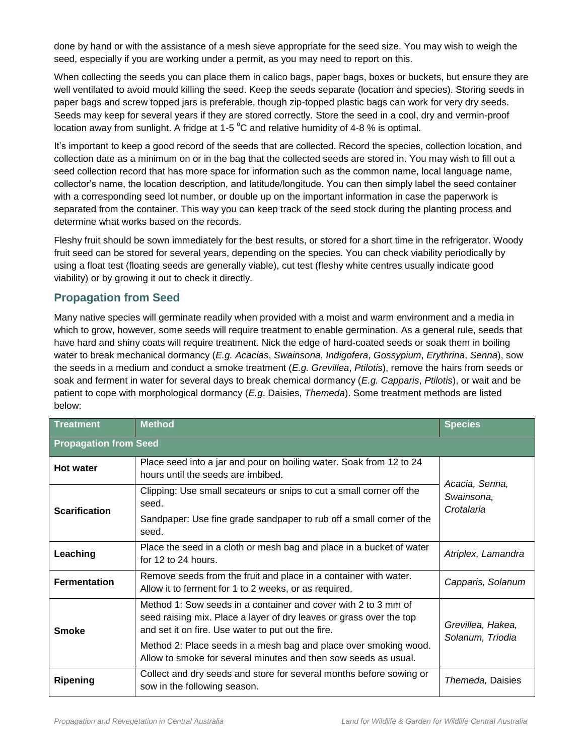done by hand or with the assistance of a mesh sieve appropriate for the seed size. You may wish to weigh the seed, especially if you are working under a permit, as you may need to report on this.

When collecting the seeds you can place them in calico bags, paper bags, boxes or buckets, but ensure they are well ventilated to avoid mould killing the seed. Keep the seeds separate (location and species). Storing seeds in paper bags and screw topped jars is preferable, though zip-topped plastic bags can work for very dry seeds. Seeds may keep for several years if they are stored correctly. Store the seed in a cool, dry and vermin-proof location away from sunlight. A fridge at 1-5  $^{\circ}$ C and relative humidity of 4-8 % is optimal.

It's important to keep a good record of the seeds that are collected. Record the species, collection location, and collection date as a minimum on or in the bag that the collected seeds are stored in. You may wish to fill out a seed collection record that has more space for information such as the common name, local language name, collector's name, the location description, and latitude/longitude. You can then simply label the seed container with a corresponding seed lot number, or double up on the important information in case the paperwork is separated from the container. This way you can keep track of the seed stock during the planting process and determine what works based on the records.

Fleshy fruit should be sown immediately for the best results, or stored for a short time in the refrigerator. Woody fruit seed can be stored for several years, depending on the species. You can check viability periodically by using a float test (floating seeds are generally viable), cut test (fleshy white centres usually indicate good viability) or by growing it out to check it directly.

### **Propagation from Seed**

Many native species will germinate readily when provided with a moist and warm environment and a media in which to grow, however, some seeds will require treatment to enable germination. As a general rule, seeds that have hard and shiny coats will require treatment. Nick the edge of hard-coated seeds or soak them in boiling water to break mechanical dormancy (*E.g. Acacias*, *Swainsona*, *Indigofera*, *Gossypium*, *Erythrina*, *Senna*), sow the seeds in a medium and conduct a smoke treatment (*E.g. Grevillea*, *Ptilotis*), remove the hairs from seeds or soak and ferment in water for several days to break chemical dormancy (*E.g. Capparis*, *Ptilotis*), or wait and be patient to cope with morphological dormancy (*E.g*. Daisies, *Themeda*). Some treatment methods are listed below:

| <b>Treatment</b>             | <b>Method</b>                                                                                                                                                                                                                                                                                                                      | <b>Species</b>                             |  |
|------------------------------|------------------------------------------------------------------------------------------------------------------------------------------------------------------------------------------------------------------------------------------------------------------------------------------------------------------------------------|--------------------------------------------|--|
| <b>Propagation from Seed</b> |                                                                                                                                                                                                                                                                                                                                    |                                            |  |
| <b>Hot water</b>             | Place seed into a jar and pour on boiling water. Soak from 12 to 24<br>hours until the seeds are imbibed.                                                                                                                                                                                                                          | Acacia, Senna,<br>Swainsona,<br>Crotalaria |  |
| <b>Scarification</b>         | Clipping: Use small secateurs or snips to cut a small corner off the<br>seed.<br>Sandpaper: Use fine grade sandpaper to rub off a small corner of the<br>seed.                                                                                                                                                                     |                                            |  |
| Leaching                     | Place the seed in a cloth or mesh bag and place in a bucket of water<br>for 12 to 24 hours.                                                                                                                                                                                                                                        | Atriplex, Lamandra                         |  |
| <b>Fermentation</b>          | Remove seeds from the fruit and place in a container with water.<br>Allow it to ferment for 1 to 2 weeks, or as required.                                                                                                                                                                                                          | Capparis, Solanum                          |  |
| <b>Smoke</b>                 | Method 1: Sow seeds in a container and cover with 2 to 3 mm of<br>seed raising mix. Place a layer of dry leaves or grass over the top<br>and set it on fire. Use water to put out the fire.<br>Method 2: Place seeds in a mesh bag and place over smoking wood.<br>Allow to smoke for several minutes and then sow seeds as usual. | Grevillea, Hakea,<br>Solanum, Triodia      |  |
| <b>Ripening</b>              | Collect and dry seeds and store for several months before sowing or<br>sow in the following season.                                                                                                                                                                                                                                | Themeda, Daisies                           |  |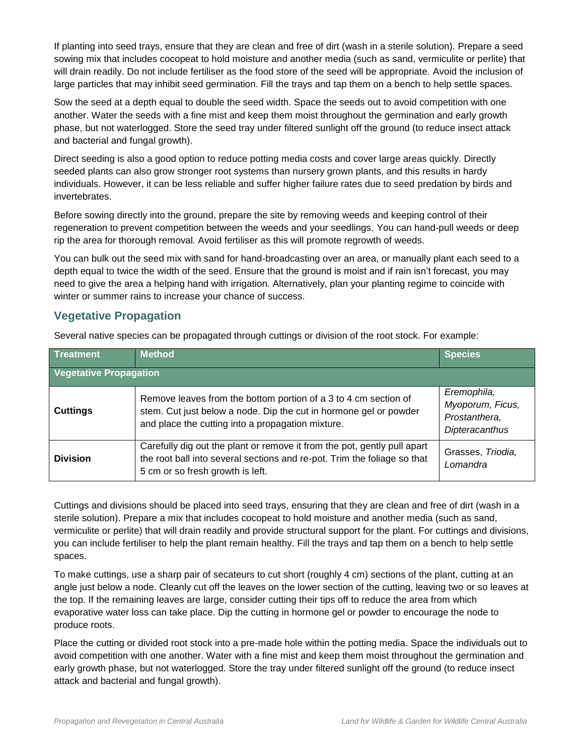If planting into seed trays, ensure that they are clean and free of dirt (wash in a sterile solution). Prepare a seed sowing mix that includes cocopeat to hold moisture and another media (such as sand, vermiculite or perlite) that will drain readily. Do not include fertiliser as the food store of the seed will be appropriate. Avoid the inclusion of large particles that may inhibit seed germination. Fill the trays and tap them on a bench to help settle spaces.

Sow the seed at a depth equal to double the seed width. Space the seeds out to avoid competition with one another. Water the seeds with a fine mist and keep them moist throughout the germination and early growth phase, but not waterlogged. Store the seed tray under filtered sunlight off the ground (to reduce insect attack and bacterial and fungal growth).

Direct seeding is also a good option to reduce potting media costs and cover large areas quickly. Directly seeded plants can also grow stronger root systems than nursery grown plants, and this results in hardy individuals. However, it can be less reliable and suffer higher failure rates due to seed predation by birds and invertebrates.

Before sowing directly into the ground, prepare the site by removing weeds and keeping control of their regeneration to prevent competition between the weeds and your seedlings. You can hand-pull weeds or deep rip the area for thorough removal. Avoid fertiliser as this will promote regrowth of weeds.

You can bulk out the seed mix with sand for hand-broadcasting over an area, or manually plant each seed to a depth equal to twice the width of the seed. Ensure that the ground is moist and if rain isn't forecast, you may need to give the area a helping hand with irrigation. Alternatively, plan your planting regime to coincide with winter or summer rains to increase your chance of success.

#### **Vegetative Propagation**

Several native species can be propagated through cuttings or division of the root stock. For example:

| <b>Treatment</b>       | <b>Method</b>                                                                                                                                                                             | <b>Species</b>                                                     |  |
|------------------------|-------------------------------------------------------------------------------------------------------------------------------------------------------------------------------------------|--------------------------------------------------------------------|--|
| Vegetative Propagation |                                                                                                                                                                                           |                                                                    |  |
| <b>Cuttings</b>        | Remove leaves from the bottom portion of a 3 to 4 cm section of<br>stem. Cut just below a node. Dip the cut in hormone gel or powder<br>and place the cutting into a propagation mixture. | Eremophila,<br>Myoporum, Ficus,<br>Prostanthera,<br>Dipteracanthus |  |
| <b>Division</b>        | Carefully dig out the plant or remove it from the pot, gently pull apart<br>the root ball into several sections and re-pot. Trim the foliage so that<br>5 cm or so fresh growth is left.  | Grasses, Triodia,<br>Lomandra                                      |  |

Cuttings and divisions should be placed into seed trays, ensuring that they are clean and free of dirt (wash in a sterile solution). Prepare a mix that includes cocopeat to hold moisture and another media (such as sand, vermiculite or perlite) that will drain readily and provide structural support for the plant. For cuttings and divisions, you can include fertiliser to help the plant remain healthy. Fill the trays and tap them on a bench to help settle spaces.

To make cuttings, use a sharp pair of secateurs to cut short (roughly 4 cm) sections of the plant, cutting at an angle just below a node. Cleanly cut off the leaves on the lower section of the cutting, leaving two or so leaves at the top. If the remaining leaves are large, consider cutting their tips off to reduce the area from which evaporative water loss can take place. Dip the cutting in hormone gel or powder to encourage the node to produce roots.

Place the cutting or divided root stock into a pre-made hole within the potting media. Space the individuals out to avoid competition with one another. Water with a fine mist and keep them moist throughout the germination and early growth phase, but not waterlogged. Store the tray under filtered sunlight off the ground (to reduce insect attack and bacterial and fungal growth).